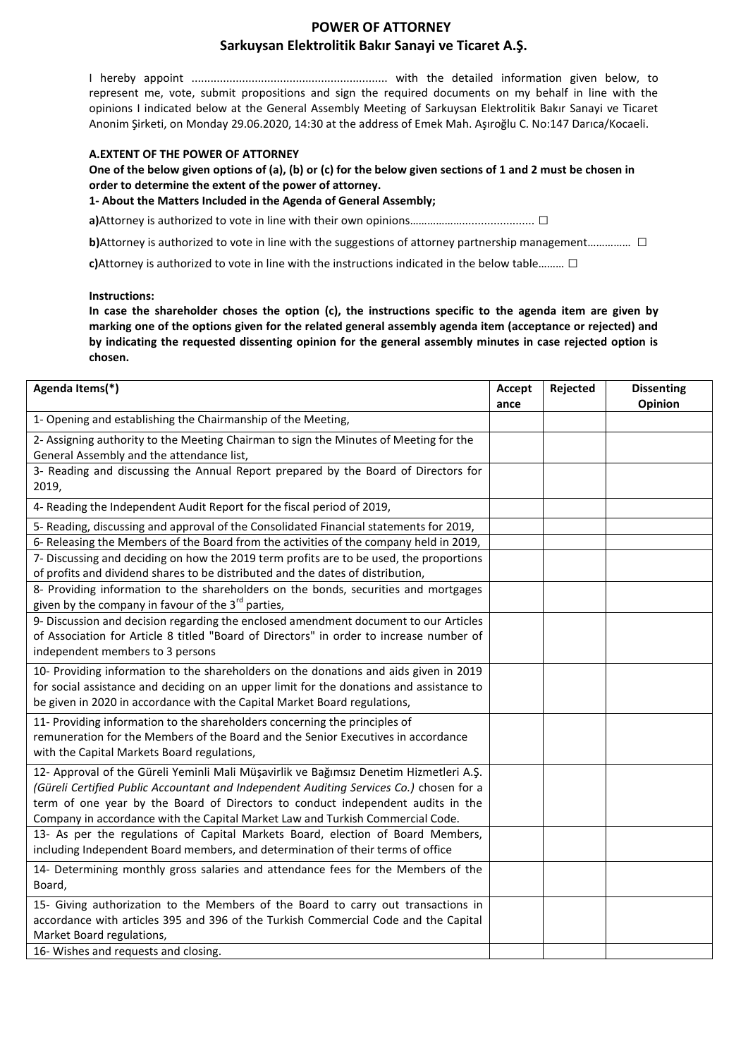# **POWER OF ATTORNEY Sarkuysan Elektrolitik Bakır Sanayi ve Ticaret A.Ş.**

I hereby appoint .............................................................. with the detailed information given below, to represent me, vote, submit propositions and sign the required documents on my behalf in line with the opinions I indicated below at the General Assembly Meeting of Sarkuysan Elektrolitik Bakır Sanayi ve Ticaret Anonim Şirketi, on Monday 29.06.2020, 14:30 at the address of Emek Mah. Aşıroğlu C. No:147 Darıca/Kocaeli.

## **A.EXTENT OF THE POWER OF ATTORNEY**

**One of the below given options of (a), (b) or (c) for the below given sections of 1 and 2 must be chosen in order to determine the extent of the power of attorney.**

**1- About the Matters Included in the Agenda of General Assembly;**

**a)**Attorney is authorized to vote in line with their own opinions……………………………………… □

**b)**Attorney is authorized to vote in line with the suggestions of attorney partnership management…………… □

**c)**Attorney is authorized to vote in line with the instructions indicated in the below table……… □

**Instructions:**

**In case the shareholder choses the option (c), the instructions specific to the agenda item are given by marking one of the options given for the related general assembly agenda item (acceptance or rejected) and by indicating the requested dissenting opinion for the general assembly minutes in case rejected option is chosen.**

| Agenda Items(*)                                                                                                                                                                                                                                                                                                                                        | Accept | Rejected | <b>Dissenting</b> |
|--------------------------------------------------------------------------------------------------------------------------------------------------------------------------------------------------------------------------------------------------------------------------------------------------------------------------------------------------------|--------|----------|-------------------|
|                                                                                                                                                                                                                                                                                                                                                        | ance   |          | Opinion           |
| 1- Opening and establishing the Chairmanship of the Meeting,                                                                                                                                                                                                                                                                                           |        |          |                   |
| 2- Assigning authority to the Meeting Chairman to sign the Minutes of Meeting for the<br>General Assembly and the attendance list,                                                                                                                                                                                                                     |        |          |                   |
| 3- Reading and discussing the Annual Report prepared by the Board of Directors for<br>2019,                                                                                                                                                                                                                                                            |        |          |                   |
| 4- Reading the Independent Audit Report for the fiscal period of 2019,                                                                                                                                                                                                                                                                                 |        |          |                   |
| 5- Reading, discussing and approval of the Consolidated Financial statements for 2019,                                                                                                                                                                                                                                                                 |        |          |                   |
| 6- Releasing the Members of the Board from the activities of the company held in 2019,                                                                                                                                                                                                                                                                 |        |          |                   |
| 7- Discussing and deciding on how the 2019 term profits are to be used, the proportions<br>of profits and dividend shares to be distributed and the dates of distribution,                                                                                                                                                                             |        |          |                   |
| 8- Providing information to the shareholders on the bonds, securities and mortgages<br>given by the company in favour of the 3 <sup>rd</sup> parties,                                                                                                                                                                                                  |        |          |                   |
| 9- Discussion and decision regarding the enclosed amendment document to our Articles<br>of Association for Article 8 titled "Board of Directors" in order to increase number of<br>independent members to 3 persons                                                                                                                                    |        |          |                   |
| 10- Providing information to the shareholders on the donations and aids given in 2019<br>for social assistance and deciding on an upper limit for the donations and assistance to<br>be given in 2020 in accordance with the Capital Market Board regulations,                                                                                         |        |          |                   |
| 11- Providing information to the shareholders concerning the principles of<br>remuneration for the Members of the Board and the Senior Executives in accordance<br>with the Capital Markets Board regulations,                                                                                                                                         |        |          |                   |
| 12- Approval of the Güreli Yeminli Mali Müşavirlik ve Bağımsız Denetim Hizmetleri A.Ş.<br>(Güreli Certified Public Accountant and Independent Auditing Services Co.) chosen for a<br>term of one year by the Board of Directors to conduct independent audits in the<br>Company in accordance with the Capital Market Law and Turkish Commercial Code. |        |          |                   |
| 13- As per the regulations of Capital Markets Board, election of Board Members,<br>including Independent Board members, and determination of their terms of office                                                                                                                                                                                     |        |          |                   |
| 14- Determining monthly gross salaries and attendance fees for the Members of the<br>Board,                                                                                                                                                                                                                                                            |        |          |                   |
| 15- Giving authorization to the Members of the Board to carry out transactions in<br>accordance with articles 395 and 396 of the Turkish Commercial Code and the Capital<br>Market Board regulations,                                                                                                                                                  |        |          |                   |
| 16- Wishes and requests and closing.                                                                                                                                                                                                                                                                                                                   |        |          |                   |